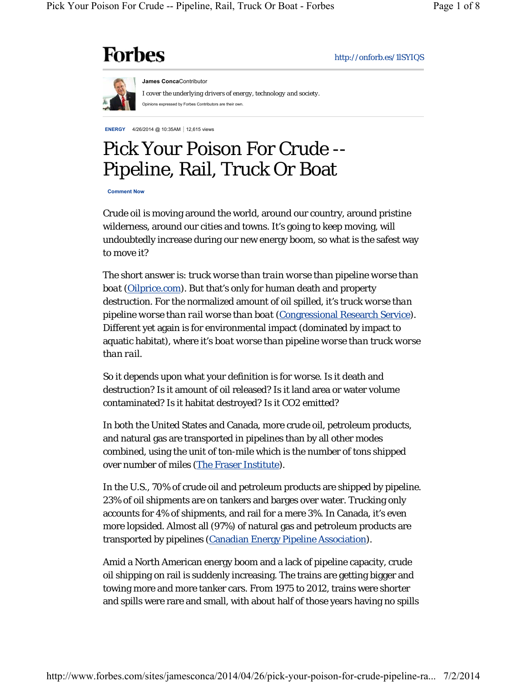# **Forbes**

http://onforb.es/1lSYIQS



**James Conca**Contributor *I cover the underlying drivers of energy, technology and society.*  Opinions expressed by Forbes Contributors are their own.

**ENERGY** 4/26/2014 @ 10:35AM | 12,615 views

# Pick Your Poison For Crude -- Pipeline, Rail, Truck Or Boat

**Comment Now**

Crude oil is moving around the world, around our country, around pristine wilderness, around our cities and towns. It's going to keep moving, will undoubtedly increase during our new energy boom, so what is the safest way to move it?

The short answer is: *truck worse than train worse than pipeline worse than boat* (*Oilprice.com*). But that's only for human death and property destruction. For the normalized amount of oil spilled, it's *truck worse than pipeline worse than rail worse than boat* (Congressional Research Service). Different yet again is for environmental impact (dominated by impact to aquatic habitat), where it's *boat worse than pipeline worse than truck worse than rail*.

So it depends upon what your definition is for *worse*. Is it death and destruction? Is it amount of oil released? Is it land area or water volume contaminated? Is it habitat destroyed? Is it CO2 emitted?

In both the United States and Canada, more crude oil, petroleum products, and natural gas are transported in pipelines than by all other modes combined, using the unit of ton-mile which is the number of tons shipped over number of miles (The Fraser Institute).

In the U.S., 70% of crude oil and petroleum products are shipped by pipeline. 23% of oil shipments are on tankers and barges over water. Trucking only accounts for 4% of shipments, and rail for a mere 3%. In Canada, it's even more lopsided. Almost all (97%) of natural gas and petroleum products are transported by pipelines (Canadian Energy Pipeline Association).

Amid a North American energy boom and a lack of pipeline capacity, crude oil shipping on rail is suddenly increasing. The trains are getting bigger and towing more and more tanker cars. From 1975 to 2012, trains were shorter and spills were rare and small, with about half of those years having no spills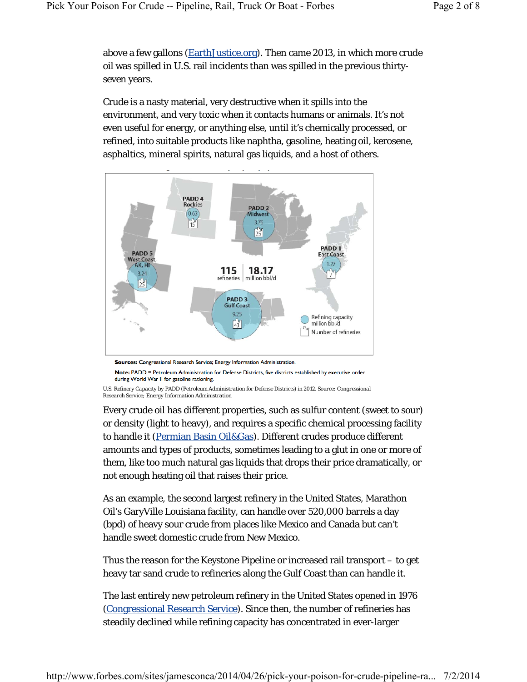above a few gallons (EarthJustice.org). Then came 2013, in which more crude oil was spilled in U.S. rail incidents than was spilled in the previous thirtyseven years.

Crude is a nasty material, very destructive when it spills into the environment, and very toxic when it contacts humans or animals. It's not even useful for energy, or anything else, until it's chemically processed, or refined, into suitable products like naphtha, gasoline, heating oil, kerosene, asphaltics, mineral spirits, natural gas liquids, and a host of others.



Sources: Congressional Research Service; Energy Information Administration.

Note: PADD = Petroleum Administration for Defense Districts, five districts established by executive order during World War II for gasoline rationing.

*U.S. Refinery Capacity by PADD (Petroleum Administration for Defense Districts) in 2012. Source: Congressional Research Service; Energy Information Administration*

Every crude oil has different properties, such as sulfur content (sweet to sour) or density (light to heavy), and requires a specific chemical processing facility to handle it (Permian Basin Oil&Gas). Different crudes produce different amounts and types of products, sometimes leading to a glut in one or more of them, like too much natural gas liquids that drops their price dramatically, or not enough heating oil that raises their price.

As an example, the second largest refinery in the United States, Marathon Oil's GaryVille Louisiana facility, can handle over 520,000 barrels a day (bpd) of heavy sour crude from places like Mexico and Canada but can't handle sweet domestic crude from New Mexico.

Thus the reason for the Keystone Pipeline or increased rail transport – to get heavy tar sand crude to refineries along the Gulf Coast than can handle it.

The last entirely new petroleum refinery in the United States opened in 1976 (Congressional Research Service). Since then, the number of refineries has steadily declined while refining capacity has concentrated in ever-larger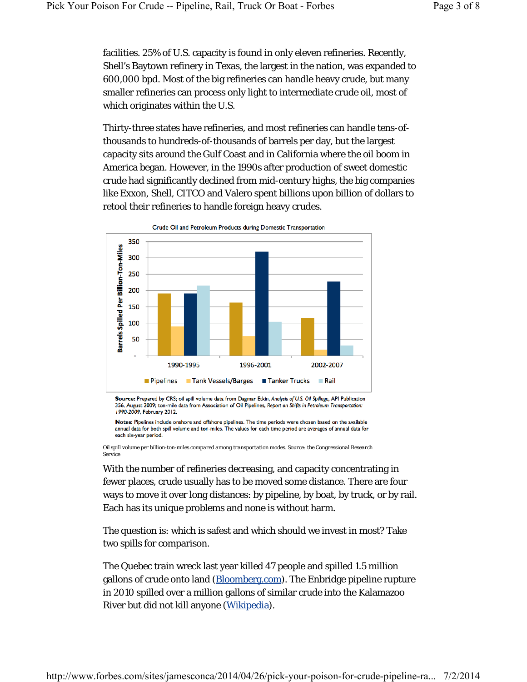facilities. 25% of U.S. capacity is found in only eleven refineries. Recently, Shell's Baytown refinery in Texas, the largest in the nation, was expanded to 600,000 bpd. Most of the big refineries can handle heavy crude, but many smaller refineries can process only light to intermediate crude oil, most of which originates within the U.S.

Thirty-three states have refineries, and most refineries can handle tens-ofthousands to hundreds-of-thousands of barrels per day, but the largest capacity sits around the Gulf Coast and in California where the oil boom in America began. However, in the 1990s after production of sweet domestic crude had significantly declined from mid-century highs, the big companies like Exxon, Shell, CITCO and Valero spent billions upon billion of dollars to retool their refineries to handle foreign heavy crudes.



Source: Prepared by CRS; oil spill volume data from Dagmar Etkin, Analysis of U.S. Oil Spillage, API Publication 356, August 2009; ton-mile data from Association of Oil Pipelines, Report on Shifts in Petroleum Transportation: 1990-2009, February 2012.

Notes: Pipelines include onshore and offshore pipelines. The time periods were chosen based on the available annual data for both spill volume and ton-miles. The values for each time period are averages of annual data for each six-year period.

*Oil spill volume per billion-ton-miles compared among transportation modes. Source: the Congressional Research Service*

With the number of refineries decreasing, and capacity concentrating in fewer places, crude usually has to be moved some distance. There are four ways to move it over long distances: by pipeline, by boat, by truck, or by rail. Each has its unique problems and none is without harm.

The question is: which is safest and which should we invest in most? Take two spills for comparison.

The Quebec train wreck last year killed 47 people and spilled 1.5 million gallons of crude onto land (Bloomberg.com). The Enbridge pipeline rupture in 2010 spilled over a million gallons of similar crude into the Kalamazoo River but did not kill anyone (Wikipedia).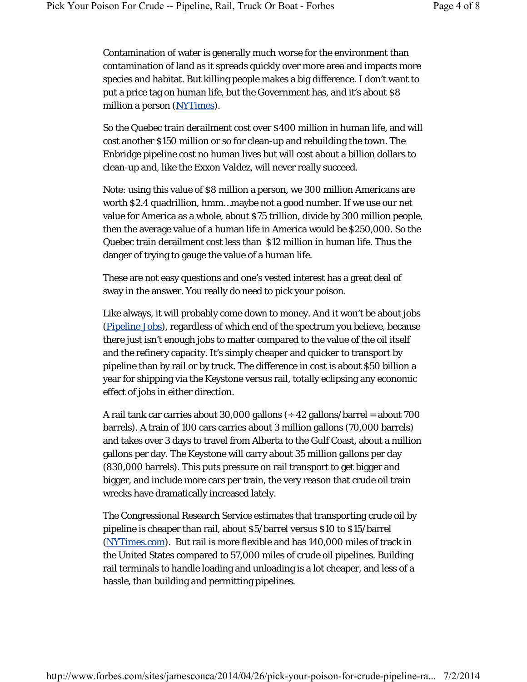Contamination of water is generally much worse for the environment than contamination of land as it spreads quickly over more area and impacts more species and habitat. But killing people makes a big difference. I don't want to put a price tag on human life, but the Government has, and it's about \$8 million a person (NYTimes).

So the Quebec train derailment cost over \$400 million in human life, and will cost another \$150 million or so for clean-up and rebuilding the town. The Enbridge pipeline cost no human lives but will cost about a billion dollars to clean-up and, like the Exxon Valdez, will never really succeed.

Note: using this value of \$8 million a person, we 300 million Americans are worth \$2.4 quadrillion, hmm…maybe not a good number. If we use our net value for America as a whole, about \$75 trillion, divide by 300 million people, then the average value of a human life in America would be \$250,000. So the Quebec train derailment cost less than \$12 million in human life. Thus the danger of trying to gauge the value of a human life.

These are not easy questions and one's vested interest has a great deal of sway in the answer. You really do need to pick your poison.

Like always, it will probably come down to money. And it won't be about jobs (Pipeline Jobs), regardless of which end of the spectrum you believe, because there just isn't enough jobs to matter compared to the value of the oil itself and the refinery capacity. It's simply cheaper and quicker to transport by pipeline than by rail or by truck. The difference in cost is about \$50 billion a year for shipping via the Keystone versus rail, totally eclipsing any economic effect of jobs in either direction.

A rail tank car carries about 30,000 gallons  $(4.42 \text{ gallons/barrel} =$  about 700 barrels). A train of 100 cars carries about 3 million gallons (70,000 barrels) and takes over 3 days to travel from Alberta to the Gulf Coast, about a million gallons per day. The Keystone will carry about 35 million gallons per day (830,000 barrels). This puts pressure on rail transport to get bigger and bigger, and include more cars per train, the very reason that crude oil train wrecks have dramatically increased lately.

The Congressional Research Service estimates that transporting crude oil by pipeline is cheaper than rail, about \$5/barrel versus \$10 to \$15/barrel (NYTimes.com). But rail is more flexible and has 140,000 miles of track in the United States compared to 57,000 miles of crude oil pipelines. Building rail terminals to handle loading and unloading is a lot cheaper, and less of a hassle, than building and permitting pipelines.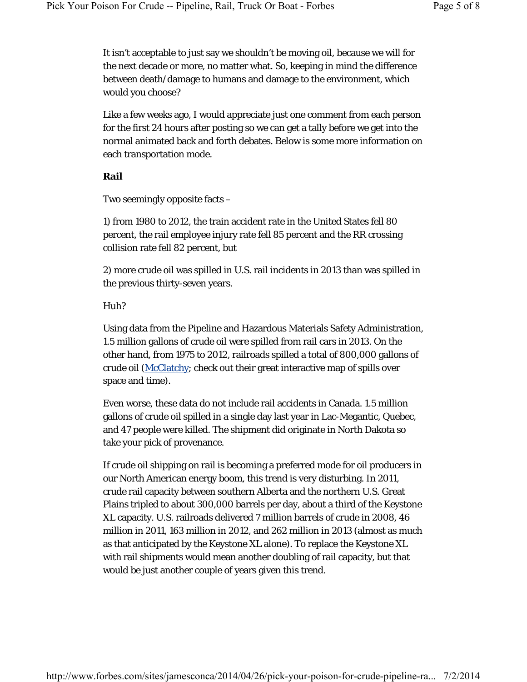It isn't acceptable to just say we shouldn't be moving oil, because we will for the next decade or more, no matter what. So, keeping in mind the difference between death/damage to humans and damage to the environment, which would you choose?

Like a few weeks ago, I would appreciate just one comment from each person for the first 24 hours after posting so we can get a tally before we get into the normal animated back and forth debates. Below is some more information on each transportation mode.

# **Rail**

Two seemingly opposite facts –

1) from 1980 to 2012, the train accident rate in the United States fell 80 percent, the rail employee injury rate fell 85 percent and the RR crossing collision rate fell 82 percent, but

2) more crude oil was spilled in U.S. rail incidents in 2013 than was spilled in the previous thirty-seven years.

# Huh?

Using data from the Pipeline and Hazardous Materials Safety Administration, 1.5 million gallons of crude oil were spilled from rail cars in 2013. On the other hand, from 1975 to 2012, railroads spilled a total of 800,000 gallons of crude oil (McClatchy; check out their great interactive map of spills over space and time).

Even worse, these data do not include rail accidents in Canada. 1.5 million gallons of crude oil spilled in a single day last year in Lac-Megantic, Quebec, and 47 people were killed. The shipment did originate in North Dakota so take your pick of provenance.

If crude oil shipping on rail is becoming a preferred mode for oil producers in our North American energy boom, this trend is very disturbing. In 2011, crude rail capacity between southern Alberta and the northern U.S. Great Plains tripled to about 300,000 barrels per day, about a third of the Keystone XL capacity. U.S. railroads delivered 7 million barrels of crude in 2008, 46 million in 2011, 163 million in 2012, and 262 million in 2013 (almost as much as that anticipated by the Keystone XL alone). To replace the Keystone XL with rail shipments would mean another doubling of rail capacity, but that would be just another couple of years given this trend.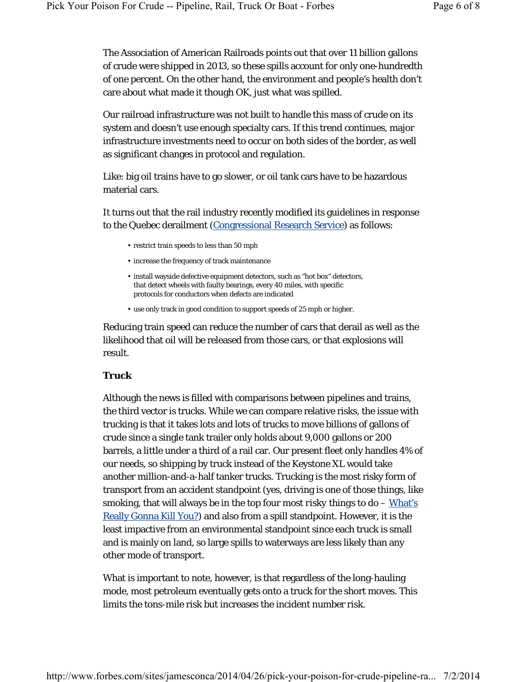The Association of American Railroads points out that over 11 billion gallons of crude were shipped in 2013, so these spills account for only one-hundredth of one percent. On the other hand, the environment and people's health don't care about what made it though OK, just what was spilled.

Our railroad infrastructure was not built to handle this mass of crude on its system and doesn't use enough specialty cars. If this trend continues, major infrastructure investments need to occur on both sides of the border, as well as significant changes in protocol and regulation.

Like: big oil trains have to go slower, or oil tank cars have to be hazardous material cars.

It turns out that the rail industry recently modified its guidelines in response to the Quebec derailment (Congressional Research Service) as follows:

- restrict train speeds to less than 50 mph
- increase the frequency of track maintenance
- install wayside defective equipment detectors, such as "hot box" detectors, that detect wheels with faulty bearings, every 40 miles, with specific protocols for conductors when defects are indicated
- use only track in good condition to support speeds of 25 mph or higher.

Reducing train speed can reduce the number of cars that derail as well as the likelihood that oil will be released from those cars, or that explosions will result.

# **Truck**

Although the news is filled with comparisons between pipelines and trains, the third vector is trucks. While we can compare relative risks, the issue with trucking is that it takes lots and lots of trucks to move billions of gallons of crude since a single tank trailer only holds about 9,000 gallons or 200 barrels, a little under a third of a rail car. Our present fleet only handles 4% of our needs, so shipping by truck instead of the Keystone XL would take another million-and-a-half tanker trucks. Trucking is the most risky form of transport from an accident standpoint (yes, driving is one of those things, like smoking, that will always be in the top four *most risky things to do* – What's Really Gonna Kill You?) and also from a spill standpoint. However, it is the least impactive from an environmental standpoint since each truck is small and is mainly on land, so large spills to waterways are less likely than any other mode of transport.

What is important to note, however, is that regardless of the long-hauling mode, most petroleum eventually gets onto a truck for the short moves. This limits the tons-mile risk but increases the incident number risk.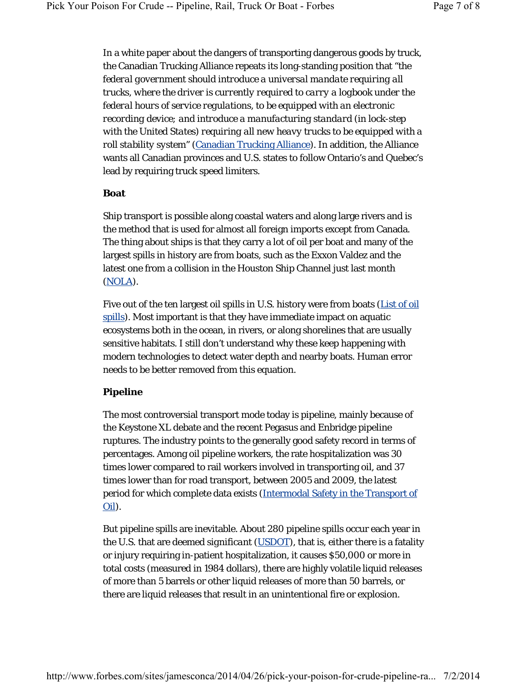In a white paper about the dangers of transporting dangerous goods by truck, the Canadian Trucking Alliance repeats its long-standing position that "*the federal government should introduce a universal mandate requiring all trucks, where the driver is currently required to carry a logbook under the federal hours of service regulations, to be equipped with an electronic recording device; and introduce a manufacturing standard (in lock-step with the United States) requiring all new heavy trucks to be equipped with a roll stability system*" (Canadian Trucking Alliance). In addition, the Alliance wants all Canadian provinces and U.S. states to follow Ontario's and Quebec's lead by requiring truck speed limiters.

#### **Boat**

Ship transport is possible along coastal waters and along large rivers and is the method that is used for almost all foreign imports except from Canada. The thing about ships is that they carry a lot of oil per boat and many of the largest spills in history are from boats, such as the Exxon Valdez and the latest one from a collision in the Houston Ship Channel just last month (NOLA).

Five out of the ten largest oil spills in U.S. history were from boats (List of oil spills). Most important is that they have immediate impact on aquatic ecosystems both in the ocean, in rivers, or along shorelines that are usually sensitive habitats. I still don't understand why these keep happening with modern technologies to detect water depth and nearby boats. Human error needs to be better removed from this equation.

# **Pipeline**

The most controversial transport mode today is pipeline, mainly because of the Keystone XL debate and the recent Pegasus and Enbridge pipeline ruptures. The industry points to the generally good safety record in terms of percentages. Among oil pipeline workers, the rate hospitalization was 30 times lower compared to rail workers involved in transporting oil, and 37 times lower than for road transport, between 2005 and 2009, the latest period for which complete data exists (Intermodal Safety in the Transport of Oil).

But pipeline spills are inevitable. About 280 pipeline spills occur each year in the U.S. that are deemed *significant* (USDOT), that is, either there is a fatality or injury requiring in-patient hospitalization, it causes \$50,000 or more in total costs (measured in 1984 dollars), there are highly volatile liquid releases of more than 5 barrels or other liquid releases of more than 50 barrels, or there are liquid releases that result in an unintentional fire or explosion.